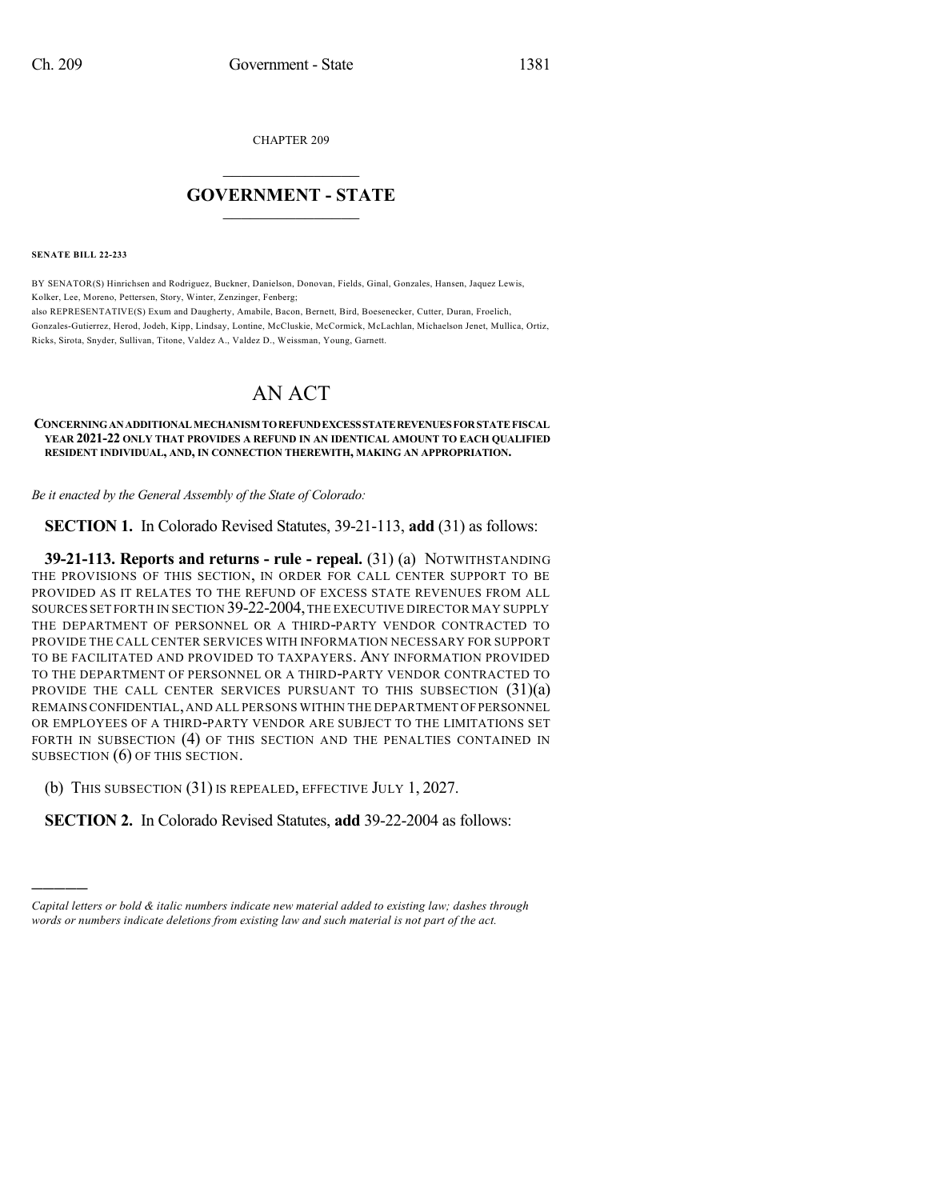CHAPTER 209

## $\mathcal{L}_\text{max}$  . The set of the set of the set of the set of the set of the set of the set of the set of the set of the set of the set of the set of the set of the set of the set of the set of the set of the set of the set **GOVERNMENT - STATE**  $\_$   $\_$   $\_$   $\_$   $\_$   $\_$   $\_$   $\_$   $\_$

**SENATE BILL 22-233**

)))))

BY SENATOR(S) Hinrichsen and Rodriguez, Buckner, Danielson, Donovan, Fields, Ginal, Gonzales, Hansen, Jaquez Lewis, Kolker, Lee, Moreno, Pettersen, Story, Winter, Zenzinger, Fenberg; also REPRESENTATIVE(S) Exum and Daugherty, Amabile, Bacon, Bernett, Bird, Boesenecker, Cutter, Duran, Froelich, Gonzales-Gutierrez, Herod, Jodeh, Kipp, Lindsay, Lontine, McCluskie, McCormick, McLachlan, Michaelson Jenet, Mullica, Ortiz, Ricks, Sirota, Snyder, Sullivan, Titone, Valdez A., Valdez D., Weissman, Young, Garnett.

## AN ACT

## **CONCERNINGANADDITIONALMECHANISM TOREFUNDEXCESSSTATEREVENUESFORSTATEFISCAL YEAR 2021-22 ONLY THAT PROVIDES A REFUND IN AN IDENTICAL AMOUNT TO EACH QUALIFIED RESIDENT INDIVIDUAL, AND, IN CONNECTION THEREWITH, MAKING AN APPROPRIATION.**

*Be it enacted by the General Assembly of the State of Colorado:*

**SECTION 1.** In Colorado Revised Statutes, 39-21-113, **add** (31) as follows:

**39-21-113. Reports and returns - rule - repeal.** (31) (a) NOTWITHSTANDING THE PROVISIONS OF THIS SECTION, IN ORDER FOR CALL CENTER SUPPORT TO BE PROVIDED AS IT RELATES TO THE REFUND OF EXCESS STATE REVENUES FROM ALL SOURCES SET FORTH IN SECTION 39-22-2004,THE EXECUTIVE DIRECTOR MAY SUPPLY THE DEPARTMENT OF PERSONNEL OR A THIRD-PARTY VENDOR CONTRACTED TO PROVIDE THE CALL CENTER SERVICES WITH INFORMATION NECESSARY FOR SUPPORT TO BE FACILITATED AND PROVIDED TO TAXPAYERS. ANY INFORMATION PROVIDED TO THE DEPARTMENT OF PERSONNEL OR A THIRD-PARTY VENDOR CONTRACTED TO PROVIDE THE CALL CENTER SERVICES PURSUANT TO THIS SUBSECTION (31)(a) REMAINSCONFIDENTIAL,AND ALL PERSONS WITHIN THE DEPARTMENT OFPERSONNEL OR EMPLOYEES OF A THIRD-PARTY VENDOR ARE SUBJECT TO THE LIMITATIONS SET FORTH IN SUBSECTION (4) OF THIS SECTION AND THE PENALTIES CONTAINED IN SUBSECTION (6) OF THIS SECTION.

(b) THIS SUBSECTION (31) IS REPEALED, EFFECTIVE JULY 1, 2027.

**SECTION 2.** In Colorado Revised Statutes, **add** 39-22-2004 as follows:

*Capital letters or bold & italic numbers indicate new material added to existing law; dashes through words or numbers indicate deletions from existing law and such material is not part of the act.*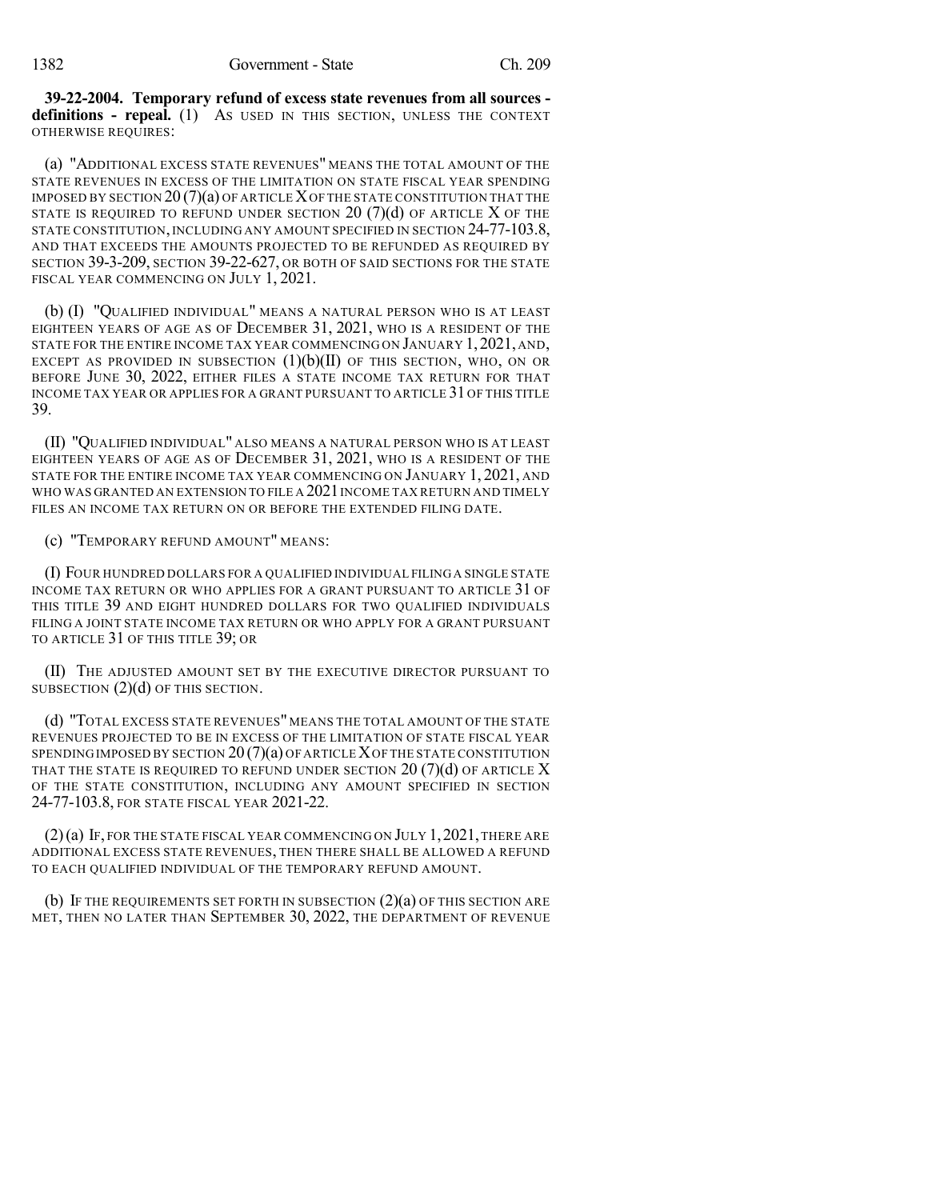**39-22-2004. Temporary refund of excess state revenues from all sources definitions - repeal.** (1) AS USED IN THIS SECTION, UNLESS THE CONTEXT OTHERWISE REQUIRES:

(a) "ADDITIONAL EXCESS STATE REVENUES" MEANS THE TOTAL AMOUNT OF THE STATE REVENUES IN EXCESS OF THE LIMITATION ON STATE FISCAL YEAR SPENDING IMPOSED BY SECTION  $20(7)(a)$  OF ARTICLE X OF THE STATE CONSTITUTION THAT THE STATE IS REQUIRED TO REFUND UNDER SECTION 20  $(7)(d)$  of article X of the STATE CONSTITUTION, INCLUDING ANY AMOUNT SPECIFIED IN SECTION 24-77-103.8, AND THAT EXCEEDS THE AMOUNTS PROJECTED TO BE REFUNDED AS REQUIRED BY SECTION 39-3-209, SECTION 39-22-627, OR BOTH OF SAID SECTIONS FOR THE STATE FISCAL YEAR COMMENCING ON JULY 1, 2021.

(b) (I) "QUALIFIED INDIVIDUAL" MEANS A NATURAL PERSON WHO IS AT LEAST EIGHTEEN YEARS OF AGE AS OF DECEMBER 31, 2021, WHO IS A RESIDENT OF THE STATE FOR THE ENTIRE INCOME TAX YEAR COMMENCING ON JANUARY 1,2021, AND, EXCEPT AS PROVIDED IN SUBSECTION  $(1)(b)(II)$  of this section, who, on or BEFORE JUNE 30, 2022, EITHER FILES A STATE INCOME TAX RETURN FOR THAT INCOME TAX YEAR OR APPLIES FOR A GRANT PURSUANT TO ARTICLE 31 OF THIS TITLE 39.

(II) "QUALIFIED INDIVIDUAL" ALSO MEANS A NATURAL PERSON WHO IS AT LEAST EIGHTEEN YEARS OF AGE AS OF DECEMBER 31, 2021, WHO IS A RESIDENT OF THE STATE FOR THE ENTIRE INCOME TAX YEAR COMMENCING ON JANUARY 1, 2021, AND WHO WAS GRANTED AN EXTENSION TO FILE A 2021 INCOME TAX RETURN AND TIMELY FILES AN INCOME TAX RETURN ON OR BEFORE THE EXTENDED FILING DATE.

(c) "TEMPORARY REFUND AMOUNT" MEANS:

(I) FOUR HUNDRED DOLLARS FOR A QUALIFIED INDIVIDUAL FILINGA SINGLE STATE INCOME TAX RETURN OR WHO APPLIES FOR A GRANT PURSUANT TO ARTICLE 31 OF THIS TITLE 39 AND EIGHT HUNDRED DOLLARS FOR TWO QUALIFIED INDIVIDUALS FILING A JOINT STATE INCOME TAX RETURN OR WHO APPLY FOR A GRANT PURSUANT TO ARTICLE 31 OF THIS TITLE 39; OR

(II) THE ADJUSTED AMOUNT SET BY THE EXECUTIVE DIRECTOR PURSUANT TO SUBSECTION (2)(d) OF THIS SECTION.

(d) "TOTAL EXCESS STATE REVENUES" MEANS THE TOTAL AMOUNT OF THE STATE REVENUES PROJECTED TO BE IN EXCESS OF THE LIMITATION OF STATE FISCAL YEAR SPENDING IMPOSED BY SECTION  $20(7)(a)$  of article X of the state constitution THAT THE STATE IS REQUIRED TO REFUND UNDER SECTION  $20$  (7)(d) OF ARTICLE X OF THE STATE CONSTITUTION, INCLUDING ANY AMOUNT SPECIFIED IN SECTION 24-77-103.8, FOR STATE FISCAL YEAR 2021-22.

 $(2)(a)$  If, for the state fiscal year commencing on July 1, 2021, there are ADDITIONAL EXCESS STATE REVENUES, THEN THERE SHALL BE ALLOWED A REFUND TO EACH QUALIFIED INDIVIDUAL OF THE TEMPORARY REFUND AMOUNT.

(b) IF THE REQUIREMENTS SET FORTH IN SUBSECTION  $(2)(a)$  OF THIS SECTION ARE MET, THEN NO LATER THAN SEPTEMBER 30, 2022, THE DEPARTMENT OF REVENUE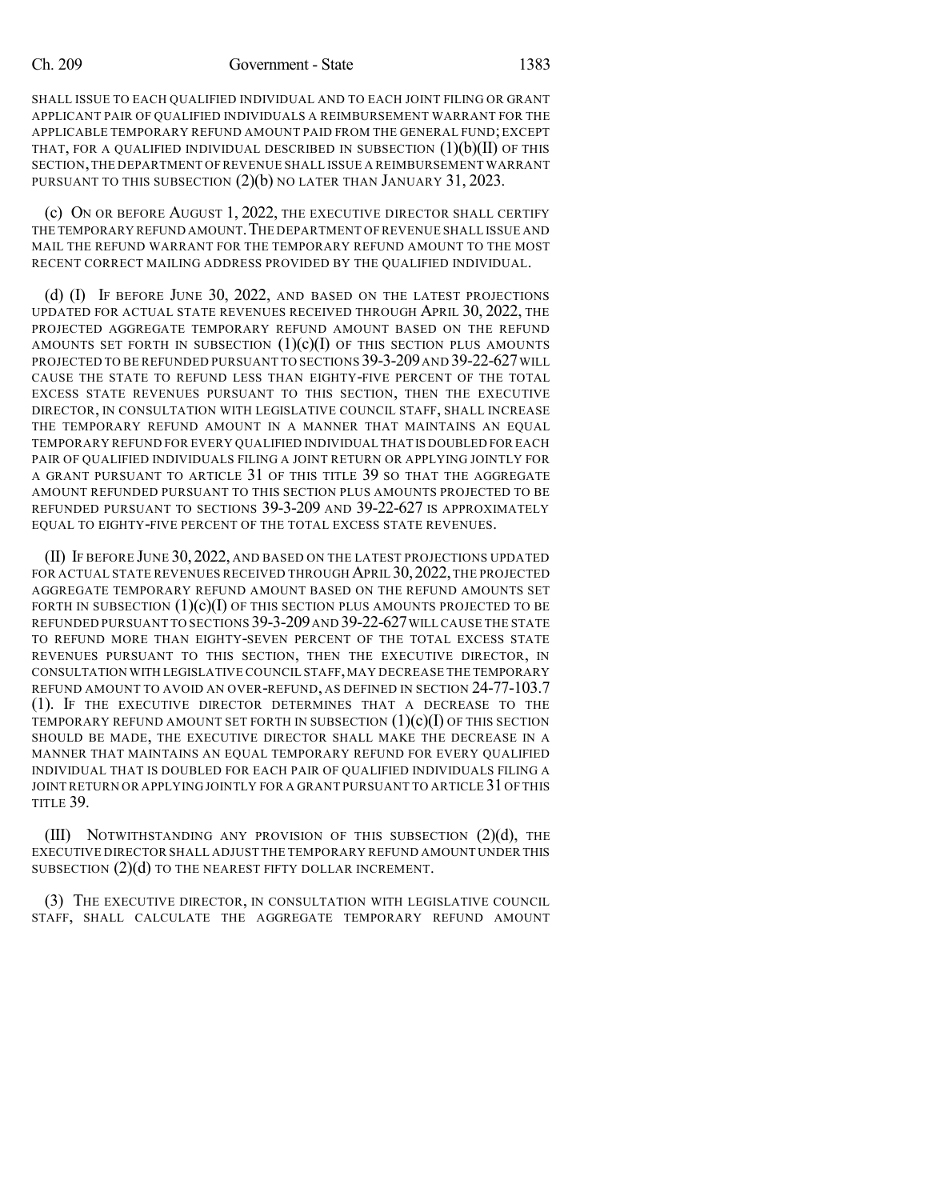## Ch. 209 Government - State 1383

SHALL ISSUE TO EACH QUALIFIED INDIVIDUAL AND TO EACH JOINT FILING OR GRANT APPLICANT PAIR OF QUALIFIED INDIVIDUALS A REIMBURSEMENT WARRANT FOR THE APPLICABLE TEMPORARY REFUND AMOUNT PAID FROM THE GENERAL FUND;EXCEPT THAT, FOR A QUALIFIED INDIVIDUAL DESCRIBED IN SUBSECTION  $(1)(b)(II)$  OF THIS SECTION,THE DEPARTMENT OF REVENUE SHALL ISSUE A REIMBURSEMENT WARRANT PURSUANT TO THIS SUBSECTION  $(2)(b)$  no later than January 31, 2023.

(c) ON OR BEFORE AUGUST 1, 2022, THE EXECUTIVE DIRECTOR SHALL CERTIFY THE TEMPORARY REFUND AMOUNT. THE DEPARTMENT OF REVENUE SHALL ISSUE AND MAIL THE REFUND WARRANT FOR THE TEMPORARY REFUND AMOUNT TO THE MOST RECENT CORRECT MAILING ADDRESS PROVIDED BY THE QUALIFIED INDIVIDUAL.

(d) (I) IF BEFORE JUNE 30, 2022, AND BASED ON THE LATEST PROJECTIONS UPDATED FOR ACTUAL STATE REVENUES RECEIVED THROUGH APRIL 30, 2022, THE PROJECTED AGGREGATE TEMPORARY REFUND AMOUNT BASED ON THE REFUND AMOUNTS SET FORTH IN SUBSECTION  $(1)(c)(I)$  of this section plus amounts PROJECTED TO BE REFUNDED PURSUANT TO SECTIONS 39-3-209AND 39-22-627WILL CAUSE THE STATE TO REFUND LESS THAN EIGHTY-FIVE PERCENT OF THE TOTAL EXCESS STATE REVENUES PURSUANT TO THIS SECTION, THEN THE EXECUTIVE DIRECTOR, IN CONSULTATION WITH LEGISLATIVE COUNCIL STAFF, SHALL INCREASE THE TEMPORARY REFUND AMOUNT IN A MANNER THAT MAINTAINS AN EQUAL TEMPORARY REFUND FOR EVERY QUALIFIED INDIVIDUAL THAT IS DOUBLED FOR EACH PAIR OF QUALIFIED INDIVIDUALS FILING A JOINT RETURN OR APPLYING JOINTLY FOR A GRANT PURSUANT TO ARTICLE 31 OF THIS TITLE 39 SO THAT THE AGGREGATE AMOUNT REFUNDED PURSUANT TO THIS SECTION PLUS AMOUNTS PROJECTED TO BE REFUNDED PURSUANT TO SECTIONS 39-3-209 AND 39-22-627 IS APPROXIMATELY EQUAL TO EIGHTY-FIVE PERCENT OF THE TOTAL EXCESS STATE REVENUES.

(II) IF BEFORE JUNE 30, 2022, AND BASED ON THE LATEST PROJECTIONS UPDATED FOR ACTUAL STATE REVENUES RECEIVED THROUGH APRIL 30, 2022, THE PROJECTED AGGREGATE TEMPORARY REFUND AMOUNT BASED ON THE REFUND AMOUNTS SET FORTH IN SUBSECTION  $(1)(c)(I)$  OF THIS SECTION PLUS AMOUNTS PROJECTED TO BE REFUNDED PURSUANT TO SECTIONS 39-3-209AND 39-22-627WILL CAUSE THE STATE TO REFUND MORE THAN EIGHTY-SEVEN PERCENT OF THE TOTAL EXCESS STATE REVENUES PURSUANT TO THIS SECTION, THEN THE EXECUTIVE DIRECTOR, IN CONSULTATION WITH LEGISLATIVE COUNCIL STAFF, MAY DECREASE THE TEMPORARY REFUND AMOUNT TO AVOID AN OVER-REFUND, AS DEFINED IN SECTION 24-77-103.7 (1). IF THE EXECUTIVE DIRECTOR DETERMINES THAT A DECREASE TO THE TEMPORARY REFUND AMOUNT SET FORTH IN SUBSECTION  $(1)(c)(I)$  OF THIS SECTION SHOULD BE MADE, THE EXECUTIVE DIRECTOR SHALL MAKE THE DECREASE IN A MANNER THAT MAINTAINS AN EQUAL TEMPORARY REFUND FOR EVERY QUALIFIED INDIVIDUAL THAT IS DOUBLED FOR EACH PAIR OF QUALIFIED INDIVIDUALS FILING A JOINT RETURN OR APPLYING JOINTLY FOR A GRANT PURSUANT TO ARTICLE 31 OF THIS TITLE 39.

(III) NOTWITHSTANDING ANY PROVISION OF THIS SUBSECTION (2)(d), THE EXECUTIVE DIRECTOR SHALL ADJUST THE TEMPORARY REFUND AMOUNT UNDER THIS SUBSECTION  $(2)(d)$  to the nearest fifty dollar increment.

(3) THE EXECUTIVE DIRECTOR, IN CONSULTATION WITH LEGISLATIVE COUNCIL STAFF, SHALL CALCULATE THE AGGREGATE TEMPORARY REFUND AMOUNT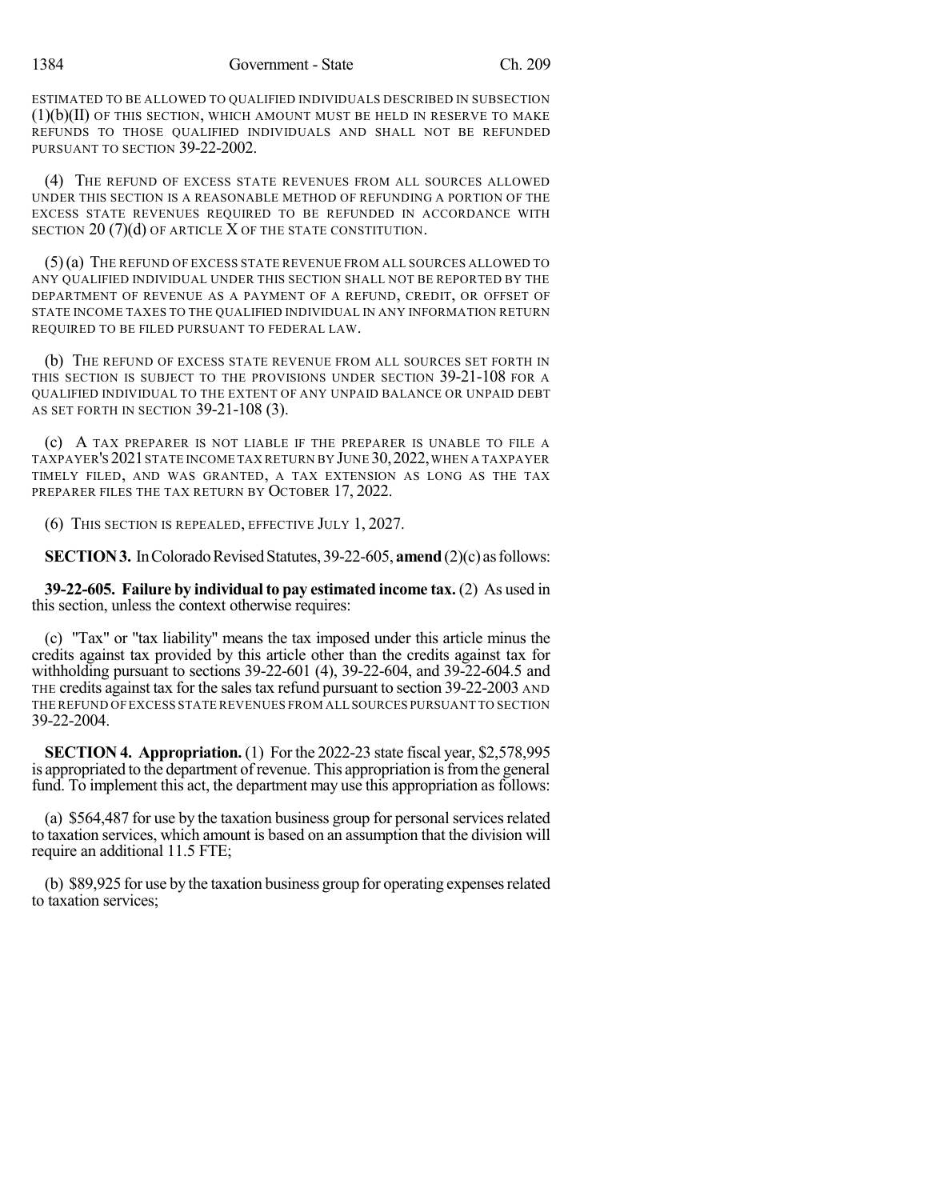ESTIMATED TO BE ALLOWED TO QUALIFIED INDIVIDUALS DESCRIBED IN SUBSECTION  $(1)(b)(II)$  OF THIS SECTION, WHICH AMOUNT MUST BE HELD IN RESERVE TO MAKE REFUNDS TO THOSE QUALIFIED INDIVIDUALS AND SHALL NOT BE REFUNDED PURSUANT TO SECTION 39-22-2002.

(4) THE REFUND OF EXCESS STATE REVENUES FROM ALL SOURCES ALLOWED UNDER THIS SECTION IS A REASONABLE METHOD OF REFUNDING A PORTION OF THE EXCESS STATE REVENUES REQUIRED TO BE REFUNDED IN ACCORDANCE WITH SECTION 20 (7)(d) OF ARTICLE X OF THE STATE CONSTITUTION.

(5)(a) THE REFUND OF EXCESS STATE REVENUE FROM ALL SOURCES ALLOWED TO ANY QUALIFIED INDIVIDUAL UNDER THIS SECTION SHALL NOT BE REPORTED BY THE DEPARTMENT OF REVENUE AS A PAYMENT OF A REFUND, CREDIT, OR OFFSET OF STATE INCOME TAXES TO THE QUALIFIED INDIVIDUAL IN ANY INFORMATION RETURN REQUIRED TO BE FILED PURSUANT TO FEDERAL LAW.

(b) THE REFUND OF EXCESS STATE REVENUE FROM ALL SOURCES SET FORTH IN THIS SECTION IS SUBJECT TO THE PROVISIONS UNDER SECTION 39-21-108 FOR A QUALIFIED INDIVIDUAL TO THE EXTENT OF ANY UNPAID BALANCE OR UNPAID DEBT AS SET FORTH IN SECTION 39-21-108 (3).

(c) A TAX PREPARER IS NOT LIABLE IF THE PREPARER IS UNABLE TO FILE A TAXPAYER'S 2021 STATE INCOME TAX RETURN BY JUNE 30, 2022, WHEN A TAXPAYER TIMELY FILED, AND WAS GRANTED, A TAX EXTENSION AS LONG AS THE TAX PREPARER FILES THE TAX RETURN BY OCTOBER 17, 2022.

(6) THIS SECTION IS REPEALED, EFFECTIVE JULY 1, 2027.

**SECTION 3.** In Colorado Revised Statutes, 39-22-605, **amend** (2)(c) as follows:

**39-22-605. Failure by individual to pay estimated income tax.** (2) As used in this section, unless the context otherwise requires:

(c) "Tax" or "tax liability" means the tax imposed under this article minus the credits against tax provided by this article other than the credits against tax for withholding pursuant to sections 39-22-601 (4), 39-22-604, and 39-22-604.5 and THE credits against tax for the salestax refund pursuant to section 39-22-2003 AND THE REFUND OF EXCESS STATE REVENUES FROM ALL SOURCES PURSUANT TO SECTION 39-22-2004.

**SECTION 4. Appropriation.** (1) For the 2022-23 state fiscal year, \$2,578,995 is appropriated to the department of revenue. This appropriation isfromthe general fund. To implement this act, the department may use this appropriation as follows:

(a) \$564,487 for use by the taxation business group for personalservicesrelated to taxation services, which amount is based on an assumption that the division will require an additional 11.5 FTE;

(b) \$89,925 for use by the taxation business group for operating expenses related to taxation services;